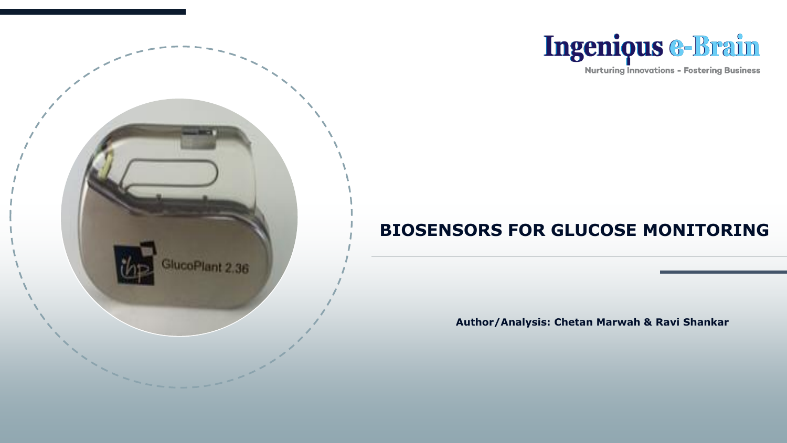



**Nurturing Innovations - Fostering Business** 

## **BIOSENSORS FOR GLUCOSE MONITORING**

**Author/Analysis: Chetan Marwah & Ravi Shankar**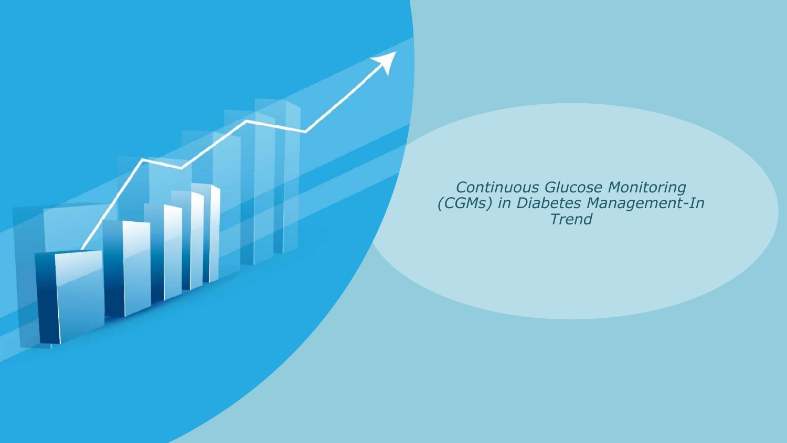*Continuous Glucose Monitoring (CGMs) in Diabetes Management-In Trend*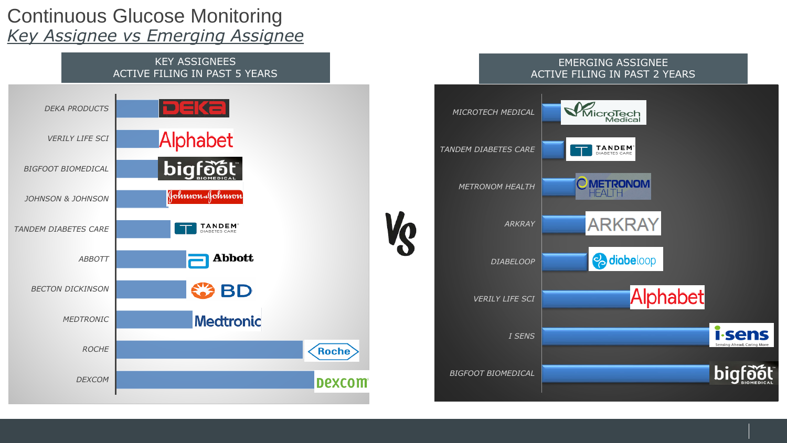## Continuous Glucose Monitoring *Key Assignee vs Emerging Assignee*



#### EMERGING ASSIGNEE ACTIVE FILING IN PAST 2 YEARS

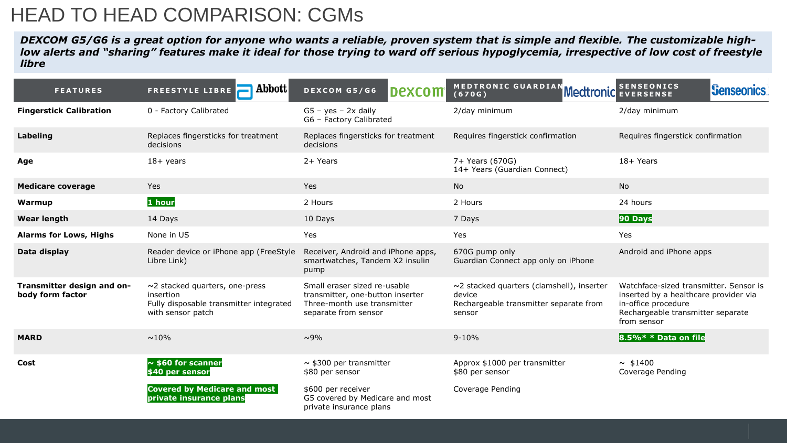## HEAD TO HEAD COMPARISON: CGMs

*DEXCOM G5/G6 is a great option for anyone who wants a reliable, proven system that is simple and flexible. The customizable highlow alerts and "sharing" features make it ideal for those trying to ward off serious hypoglycemia, irrespective of low cost of freestyle libre*

| <b>FEATURES</b>                                | Abbott<br><b>FREESTYLE LIBRE</b>                                                                                  | DEXCOM G5/G6<br><b>Dexcom</b>                                                                                           | MEDTRONIC GUARDIAN Meditonic SENSEONICS<br>(670G)                                                             | <b>Senseonics</b>                                                                                                                                          |
|------------------------------------------------|-------------------------------------------------------------------------------------------------------------------|-------------------------------------------------------------------------------------------------------------------------|---------------------------------------------------------------------------------------------------------------|------------------------------------------------------------------------------------------------------------------------------------------------------------|
| <b>Fingerstick Calibration</b>                 | 0 - Factory Calibrated                                                                                            | $GS - yes - 2x$ daily<br>G6 - Factory Calibrated                                                                        | 2/day minimum                                                                                                 | 2/day minimum                                                                                                                                              |
| Labeling                                       | Replaces fingersticks for treatment<br>decisions                                                                  | Replaces fingersticks for treatment<br>decisions                                                                        | Requires fingerstick confirmation                                                                             | Requires fingerstick confirmation                                                                                                                          |
| Age                                            | $18 +$ years                                                                                                      | 2+ Years                                                                                                                | 7+ Years (670G)<br>14+ Years (Guardian Connect)                                                               | 18+ Years                                                                                                                                                  |
| <b>Medicare coverage</b>                       | <b>Yes</b>                                                                                                        | Yes                                                                                                                     | <b>No</b>                                                                                                     | <b>No</b>                                                                                                                                                  |
| Warmup                                         | 1 hour                                                                                                            | 2 Hours                                                                                                                 | 2 Hours                                                                                                       | 24 hours                                                                                                                                                   |
| <b>Wear length</b>                             | 14 Days                                                                                                           | 10 Days                                                                                                                 | 7 Days                                                                                                        | 90 Days                                                                                                                                                    |
| <b>Alarms for Lows, Highs</b>                  | None in US                                                                                                        | Yes                                                                                                                     | Yes                                                                                                           | Yes                                                                                                                                                        |
| Data display                                   | Reader device or iPhone app (FreeStyle<br>Libre Link)                                                             | Receiver, Android and iPhone apps,<br>smartwatches, Tandem X2 insulin<br>pump                                           | 670G pump only<br>Guardian Connect app only on iPhone                                                         | Android and iPhone apps                                                                                                                                    |
| Transmitter design and on-<br>body form factor | $\sim$ 2 stacked quarters, one-press<br>insertion<br>Fully disposable transmitter integrated<br>with sensor patch | Small eraser sized re-usable<br>transmitter, one-button inserter<br>Three-month use transmitter<br>separate from sensor | $\sim$ 2 stacked quarters (clamshell), inserter<br>device<br>Rechargeable transmitter separate from<br>sensor | Watchface-sized transmitter. Sensor is<br>inserted by a healthcare provider via<br>in-office procedure<br>Rechargeable transmitter separate<br>from sensor |
| <b>MARD</b>                                    | $~10\%$                                                                                                           | $~10\%$                                                                                                                 | $9 - 10%$                                                                                                     | 8.5%* * Data on file                                                                                                                                       |
| Cost                                           | $\sim$ \$60 for scanner<br>\$40 per sensor                                                                        | $\sim$ \$300 per transmitter<br>\$80 per sensor                                                                         | Approx \$1000 per transmitter<br>\$80 per sensor                                                              | $~\sim$ \$1400<br>Coverage Pending                                                                                                                         |
|                                                | <b>Covered by Medicare and most</b><br>private insurance plans                                                    | \$600 per receiver<br>G5 covered by Medicare and most                                                                   | Coverage Pending                                                                                              |                                                                                                                                                            |

private insurance plans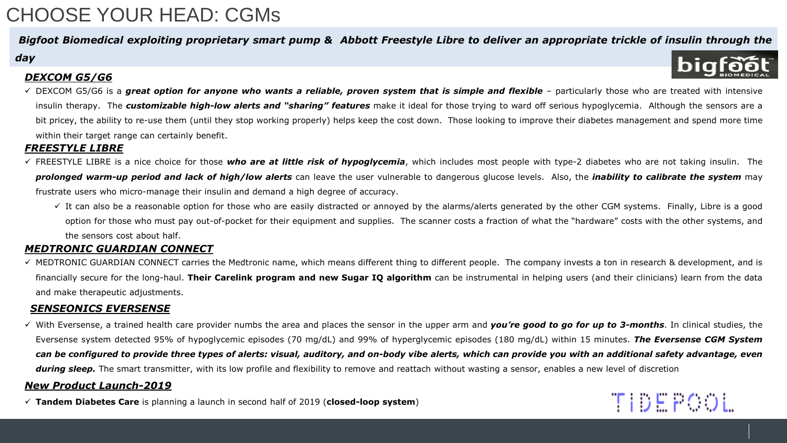## CHOOSE YOUR HEAD: CGMs

#### Bigfoot Biomedical exploiting proprietary smart pump & Abbott Freestyle Libre to deliver an appropriate trickle of insulin through the

#### *day*

#### *DEXCOM G5/G6*

√ DEXCOM G5/G6 is a great option for anyone who wants a reliable, proven system that is simple and flexible – particularly those who are treated with intensive insulin therapy. The *customizable high-low alerts and "sharing" features* make it ideal for those trying to ward off serious hypoglycemia. Although the sensors are a bit pricey, the ability to re-use them (until they stop working properly) helps keep the cost down. Those looking to improve their diabetes management and spend more time within their target range can certainly benefit.

#### *FREESTYLE LIBRE*

- ✓ FREESTYLE LIBRE is a nice choice for those *who are at little risk of hypoglycemia*, which includes most people with type-2 diabetes who are not taking insulin. The prolonged warm-up period and lack of high/low alerts can leave the user vulnerable to dangerous glucose levels. Also, the inability to calibrate the system may frustrate users who micro-manage their insulin and demand a high degree of accuracy.
	- $\checkmark$  It can also be a reasonable option for those who are easily distracted or annoyed by the alarms/alerts generated by the other CGM systems. Finally, Libre is a good option for those who must pay out-of-pocket for their equipment and supplies. The scanner costs a fraction of what the "hardware" costs with the other systems, and the sensors cost about half.

#### *MEDTRONIC GUARDIAN CONNECT*

 $\checkmark$  MEDTRONIC GUARDIAN CONNECT carries the Medtronic name, which means different thing to different people. The company invests a ton in research & development, and is financially secure for the long-haul. **Their Carelink program and new Sugar IQ algorithm** can be instrumental in helping users (and their clinicians) learn from the data and make therapeutic adjustments.

#### *SENSEONICS EVERSENSE*

√ With Eversense, a trained health care provider numbs the area and places the sensor in the upper arm and you're good to go for up to 3-months. In clinical studies, the Eversense system detected 95% of hypoglycemic episodes (70 mg/dL) and 99% of hyperglycemic episodes (180 mg/dL) within 15 minutes. *The Eversense CGM System* can be configured to provide three types of alerts: visual, auditory, and on-body vibe alerts, which can provide you with an additional safety advantage, even *during sleep.* The smart transmitter, with its low profile and flexibility to remove and reattach without wasting a sensor, enables a new level of discretion

**TIDEPOOL** 

#### *New Product Launch-2019*

✓ **Tandem Diabetes Care** is planning a launch in second half of 2019 (**closed-loop system**)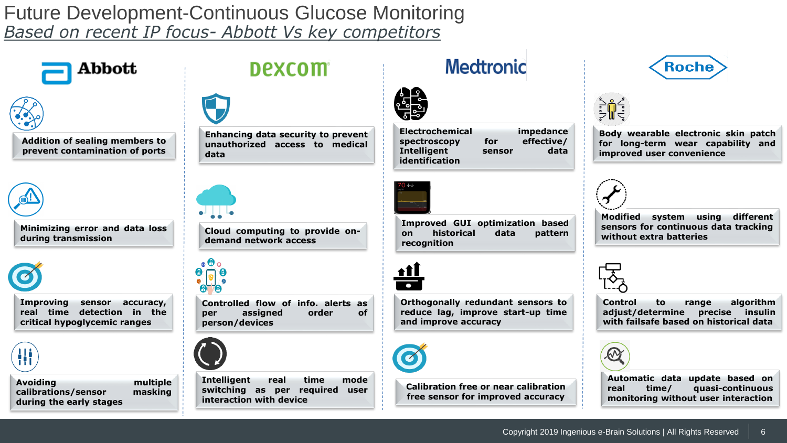## Future Development-Continuous Glucose Monitoring *Based on recent IP focus- Abbott Vs key competitors*



**Addition of sealing members to prevent contamination of ports**

Abbott



**Minimizing error and data loss during transmission**



**Improving sensor accuracy, real time detection in the critical hypoglycemic ranges**



**Avoiding multiple calibrations/sensor masking during the early stages**

## **Dexcom**



**Enhancing data security to prevent unauthorized access to medical data**



**Cloud computing to provide ondemand network access**



**Controlled flow of info. alerts as per assigned order of person/devices**



**Intelligent real time mode switching as per required user interaction with device**

## **Medtronic**



**Electrochemical impedance spectroscopy for Intelligent sensor data identification**



**Improved GUI optimization based on historical data pattern recognition**



**Orthogonally redundant sensors to reduce lag, improve start-up time and improve accuracy**



**Calibration free or near calibration free sensor for improved accuracy**





**Body wearable electronic skin patch for long-term wear capability and improved user convenience**



**Modified system using different sensors for continuous data tracking without extra batteries**



**Control to range algorithm adjust/determine precise insulin with failsafe based on historical data**



**Automatic data update based on real time/ quasi-continuous monitoring without user interaction**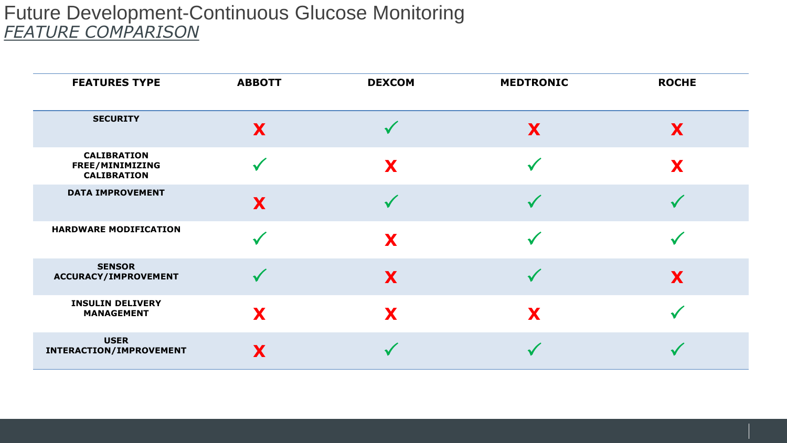## Future Development-Continuous Glucose Monitoring *FEATURE COMPARISON*

| <b>FEATURES TYPE</b>                                        | <b>ABBOTT</b> | <b>DEXCOM</b> | <b>MEDTRONIC</b> | <b>ROCHE</b> |
|-------------------------------------------------------------|---------------|---------------|------------------|--------------|
| <b>SECURITY</b>                                             | X             |               | X                | X            |
| <b>CALIBRATION</b><br>FREE/MINIMIZING<br><b>CALIBRATION</b> |               | X             |                  | X            |
| <b>DATA IMPROVEMENT</b>                                     | X             |               |                  |              |
| <b>HARDWARE MODIFICATION</b>                                |               | X             |                  |              |
| <b>SENSOR</b><br>ACCURACY/IMPROVEMENT                       |               | X             |                  | X            |
| <b>INSULIN DELIVERY</b><br><b>MANAGEMENT</b>                | X             | X             | X                |              |
| <b>USER</b><br>INTERACTION/IMPROVEMENT                      | X             |               |                  |              |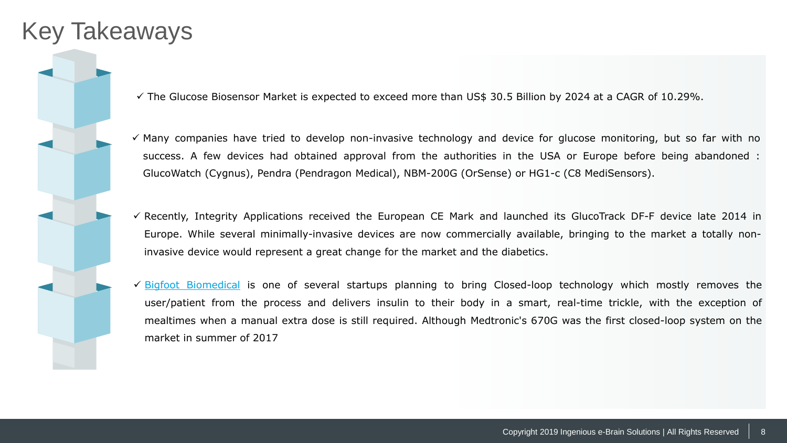## Key Takeaways

✓ The Glucose Biosensor Market is expected to exceed more than US\$ 30.5 Billion by 2024 at a CAGR of 10.29%.

 $\checkmark$  Many companies have tried to develop non-invasive technology and device for glucose monitoring, but so far with no success. A few devices had obtained approval from the authorities in the USA or Europe before being abandoned : GlucoWatch (Cygnus), Pendra (Pendragon Medical), NBM-200G (OrSense) or HG1-c (C8 MediSensors).

✓ Recently, Integrity Applications received the European CE Mark and launched its GlucoTrack DF-F device late 2014 in Europe. While several minimally-invasive devices are now commercially available, bringing to the market a totally noninvasive device would represent a great change for the market and the diabetics.

✓ Bigfoot [Biomedical](https://www.bigfootbiomedical.com/) is one of several startups planning to bring Closed-loop technology which mostly removes the user/patient from the process and delivers insulin to their body in a smart, real-time trickle, with the exception of mealtimes when a manual extra dose is still required. Although Medtronic's 670G was the first closed-loop system on the market in summer of 2017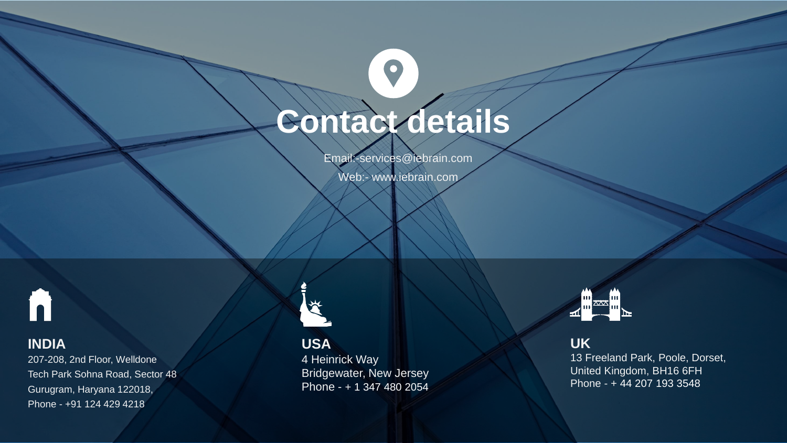# **Contact details**

 $\bullet$ 

Email:-services@iebrain.com

Web:- www.iebrain.com



### **INDIA**

207-208, 2nd Floor, Welldone Tech Park Sohna Road, Sector 48 Gurugram, Haryana 122018, Phone - +91 124 429 4218

**USA** 4 Heinrick Way Bridgewater, New Jersey Phone - + 1 347 480 2054



**UK**

13 Freeland Park, Poole, Dorset, United Kingdom, BH16 6FH Phone - + 44 207 193 3548